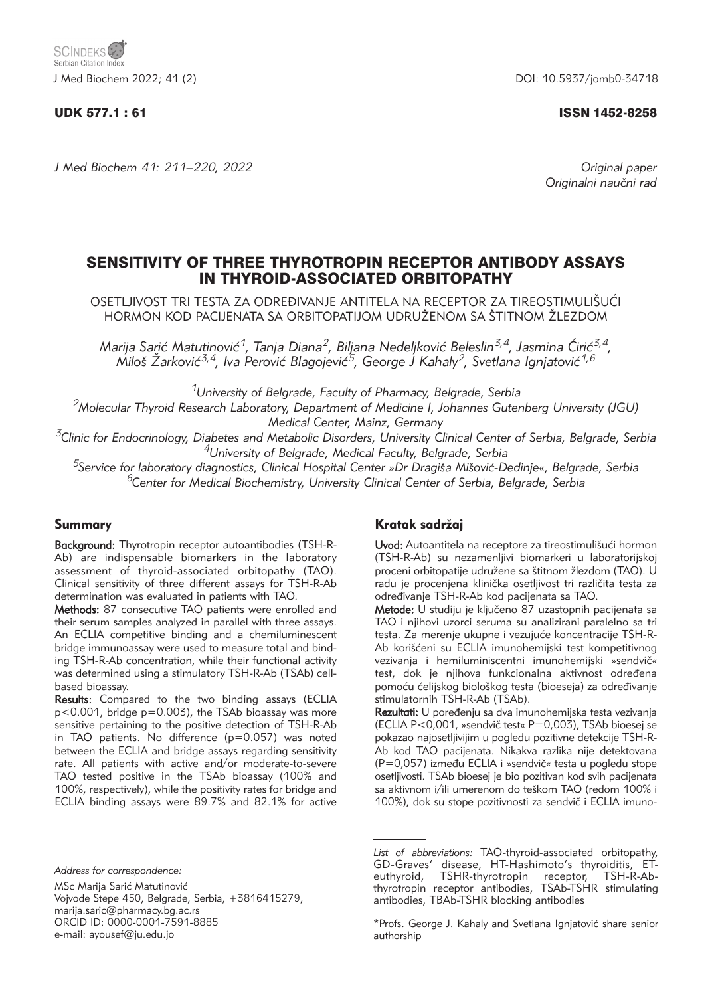# UDK 577.1 : 61 ISSN 1452-8258

*J Med Biochem 41: 211–220, 2022 Original paper*

Originalni naučni rad

# SENSITIVITY OF THREE THYROTROPIN RECEPTOR ANTIBODY ASSAYS IN THYROID-ASSOCIATED ORBITOPATHY

OSETLJIVOST TRI TESTA ZA ODREĐIVANJE ANTITELA NA RECEPTOR ZA TIREOSTIMULIŠUĆI HORMON KOD PACIJENATA SA ORBITOPATIJOM UDRUŽENOM SA ŠTITNOM ŽLEZDOM

Marija Sarić Matutinović<sup>1</sup>, Tanja Diana<sup>2</sup>, Biljana Nedeljković Beleslin<sup>3,4</sup>, Jasmina Ćirić<sup>3,4</sup>, Miloš Žarković<sup>3,4</sup>, Iva Perović Blagojević<sup>5</sup>, George J Kahaly<sup>2</sup>, Svetlana Ignjatović<sup>1,6</sup>

*1University of Belgrade, Faculty of Pharmacy, Belgrade, Serbia*

*2Molecular Thyroid Research Laboratory, Department of Medicine I, Johannes Gutenberg University (JGU) Medical Center, Mainz, Germany*

*3Clinic for Endocrinology, Diabetes and Metabolic Disorders, University Clinical Center of Serbia, Belgrade, Serbia 4University of Belgrade, Medical Faculty, Belgrade, Serbia*

*5Service for laboratory diagnostics, Clinical Hospital Center »Dr Dragi{a Mi{ovi}-Dedinje«, Belgrade, Serbia 6Center for Medical Biochemistry, University Clinical Center of Serbia, Belgrade, Serbia*

# Summary

Background: Thyrotropin receptor autoantibodies (TSH-R-Ab) are indispensable biomarkers in the laboratory assessment of thyroid-associated orbitopathy (TAO). Clinical sensitivity of three different assays for TSH-R-Ab determination was evaluated in patients with TAO.

Methods: 87 consecutive TAO patients were enrolled and their serum samples analyzed in parallel with three assays. An ECLIA competitive binding and a chemiluminescent bridge immunoassay were used to measure total and binding TSH-R-Ab concentration, while their functional activity was determined using a stimulatory TSH-R-Ab (TSAb) cellbased bioassay.

Results: Compared to the two binding assays (ECLIA p<0.001, bridge p=0.003), the TSAb bioassay was more sensitive pertaining to the positive detection of TSH-R-Ab in TAO patients. No difference (p=0.057) was noted between the ECLIA and bridge assays regarding sensitivity rate. All patients with active and/or moderate-to-severe TAO tested positive in the TSAb bioassay (100% and 100%, respectively), while the positivity rates for bridge and ECLIA binding assays were 89.7% and 82.1% for active

MSc Marija Sarić Matutinović

Vojvode Stepe 450, Belgrade, Serbia, +3816415279, marija.saric@pharmacy.bg.ac.rs ORCID ID: 0000-0001-7591-8885 e-mail: ayousef@ju.edu.jo

# Kratak sadržaj

Uvod: Autoantitela na receptore za tireostimulišući hormon (TSH-R-Ab) su nezamenljivi biomarkeri u laboratorijskoj proceni orbitopatije udružene sa štitnom žlezdom (TAO). U radu je procenjena klinička osetljivost tri različita testa za određivanje TSH-R-Ab kod pacijenata sa TAO.

Metode: U studiju je ključeno 87 uzastopnih pacijenata sa TAO i njihovi uzorci seruma su analizirani paralelno sa tri testa. Za merenje ukupne i vezujuće koncentracije TSH-R-Ab korišćeni su ECLIA imunohemijski test kompetitivnog vezivanja i hemiluminiscentni imunohemijski »sendvič« test, dok je njihova funkcionalna aktivnost određena pomoću ćelijskog biološkog testa (bioeseja) za određivanje stimulatornih TSH-R-Ab (TSAb).

Rezultati: U poređenju sa dva imunohemijska testa vezivanja (ECLIA P<0,001, »sendvič test« P=0,003), TSAb bioesej se pokazao najosetljivijim u pogledu pozitivne detekcije TSH-R-Ab kod TAO pacijenata. Nikakva razlika nije detektovana (P=0,057) između ECLIA i »sendvič« testa u pogledu stope osetljivosti. TSAb bioesej je bio pozitivan kod svih pacijenata sa aktivnom i/ili umerenom do teškom TAO (redom 100% i 100%), dok su stope pozitivnosti za sendvič i ECLIA imuno-

*Address for correspondence:*

*List of abbreviations:* TAO-thyroid-associated orbitopathy, GD-Graves' disease, HT-Hashimoto's thyroiditis, ETeuthyroid, TSHR-thyrotropin receptor, TSH-R-Abthyrotropin receptor antibodies, TSAb-TSHR stimulating antibodies, TBAb-TSHR blocking antibodies

<sup>\*</sup>Profs. George J. Kahaly and Svetlana Igniatović share senior authorship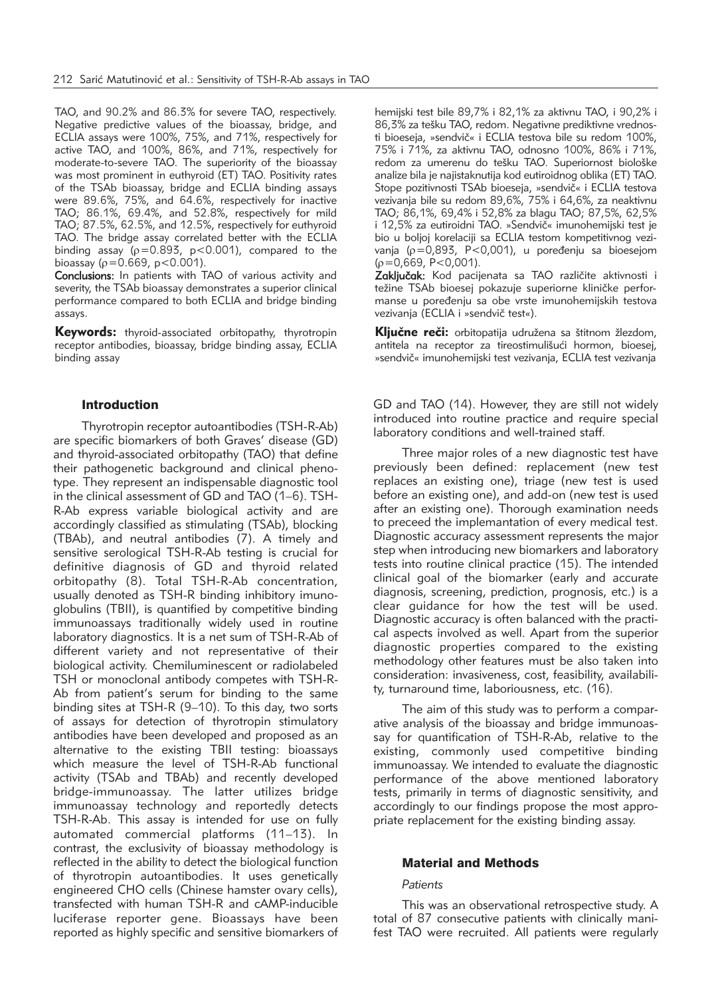TAO, and 90.2% and 86.3% for severe TAO, respectively. Negative predictive values of the bioassay, bridge, and ECLIA assays were 100%, 75%, and 71%, respectively for active TAO, and 100%, 86%, and 71%, respectively for moderate-to-severe TAO. The superiority of the bioassay was most prominent in euthyroid (ET) TAO. Positivity rates of the TSAb bioassay, bridge and ECLIA binding assays were 89.6%, 75%, and 64.6%, respectively for inactive TAO; 86.1%, 69.4%, and 52.8%, respectively for mild TAO; 87.5%, 62.5%, and 12.5%, respectively for euthyroid TAO. The bridge assay correlated better with the ECLIA binding assay ( $\rho$ =0.893, p<0.001), compared to the bioassay ( $p = 0.669$ ,  $p < 0.001$ ).

Conclusions: In patients with TAO of various activity and severity, the TSAb bioassay demonstrates a superior clinical performance compared to both ECLIA and bridge binding assays.

**Keywords:** thyroid-associated orbitopathy, thyrotropin receptor antibodies, bioassay, bridge binding assay, ECLIA binding assay

#### Introduction

Thyrotropin receptor autoantibodies (TSH-R-Ab) are specific biomarkers of both Graves' disease (GD) and thyroid-associated orbitopathy (TAO) that define their pathogenetic background and clinical phenotype. They represent an indispensable diagnostic tool in the clinical assessment of GD and TAO (1–6). TSH-R-Ab express variable biological activity and are accordingly classified as stimulating (TSAb), blocking (TBAb), and neutral antibodies (7). A timely and sensitive serological TSH-R-Ab testing is crucial for definitive diagnosis of GD and thyroid related orbitopathy (8). Total TSH-R-Ab concentration, usually denoted as TSH-R binding inhibitory imunoglobulins (TBII), is quantified by competitive binding immunoassays traditionally widely used in routine laboratory diagnostics. It is a net sum of TSH-R-Ab of different variety and not representative of their biological activity. Chemiluminescent or radiolabeled TSH or monoclonal antibody competes with TSH-R-Ab from patient's serum for binding to the same binding sites at TSH-R (9–10). To this day, two sorts of assays for detection of thyrotropin stimulatory antibodies have been developed and proposed as an alternative to the existing TBII testing: bioassays which measure the level of TSH-R-Ab functional activity (TSAb and TBAb) and recently developed bridge-immunoassay. The latter utilizes bridge immunoassay technology and reportedly detects TSH-R-Ab. This assay is intended for use on fully automated commercial platforms (11–13). In contrast, the exclusivity of bioassay methodology is reflected in the ability to detect the biological function of thyrotropin autoantibodies. It uses genetically engineered CHO cells (Chinese hamster ovary cells), transfected with human TSH-R and cAMP-inducible luciferase reporter gene. Bioassays have been reported as highly specific and sensitive biomarkers of

hemijski test bile 89,7% i 82,1% za aktivnu TAO, i 90,2% i 86,3% za tešku TAO, redom. Negativne prediktivne vrednosti bioeseja, »sendvič« i ECLIA testova bile su redom 100%, 75% i 71%, za aktivnu TAO, odnosno 100%, 86% i 71%, redom za umerenu do tešku TAO. Superiornost biološke analize bila je najistaknutija kod eutiroidnog oblika (ET) TAO. Stope pozitivnosti TSAb bioeseja, »sendvič« i ECLIA testova vezivanja bile su redom 89,6%, 75% i 64,6%, za neaktivnu TAO; 86,1%, 69,4% i 52,8% za blagu TAO; 87,5%, 62,5% i 12,5% za eutiroidni TAO. »Sendvič« imunohemijski test je bio u boljoj korelaciji sa ECLIA testom kompetitivnog vezivanja ( $p=0.893$ , P<0,001), u poređenju sa bioesejom  $(p=0.669, P<0.001)$ .

Zaključak: Kod pacijenata sa TAO različite aktivnosti i težine TSAb bioesej pokazuje superiorne kliničke performanse u poređenju sa obe vrste imunohemijskih testova vezivanja (ECLIA i »sendvič test«).

Ključne reči: orbitopatija udružena sa štitnom žlezdom, antitela na receptor za tireostimulišući hormon, bioesej, »sendvič« imunohemijski test vezivanja, ECLIA test vezivanja

GD and TAO (14). However, they are still not widely introduced into routine practice and require special laboratory conditions and well-trained staff.

Three major roles of a new diagnostic test have previously been defined: replacement (new test replaces an existing one), triage (new test is used before an existing one), and add-on (new test is used after an existing one). Thorough examination needs to preceed the implemantation of every medical test. Diagnostic accuracy assessment represents the major step when introducing new biomarkers and laboratory tests into routine clinical practice (15). The intended clinical goal of the biomarker (early and accurate diagnosis, screening, prediction, prognosis, etc.) is a clear guidance for how the test will be used. Diagnostic accuracy is often balanced with the practical aspects involved as well. Apart from the superior diagnostic properties compared to the existing methodology other features must be also taken into consideration: invasiveness, cost, feasibility, availability, turnaround time, laboriousness, etc. (16).

The aim of this study was to perform a comparative analysis of the bioassay and bridge immunoassay for quantification of TSH-R-Ab, relative to the existing, commonly used competitive binding immunoassay. We intended to evaluate the diagnostic performance of the above mentioned laboratory tests, primarily in terms of diagnostic sensitivity, and accordingly to our findings propose the most appropriate replacement for the existing binding assay.

#### Material and Methods

#### *Patients*

This was an observational retrospective study. A total of 87 consecutive patients with clinically manifest TAO were recruited. All patients were regularly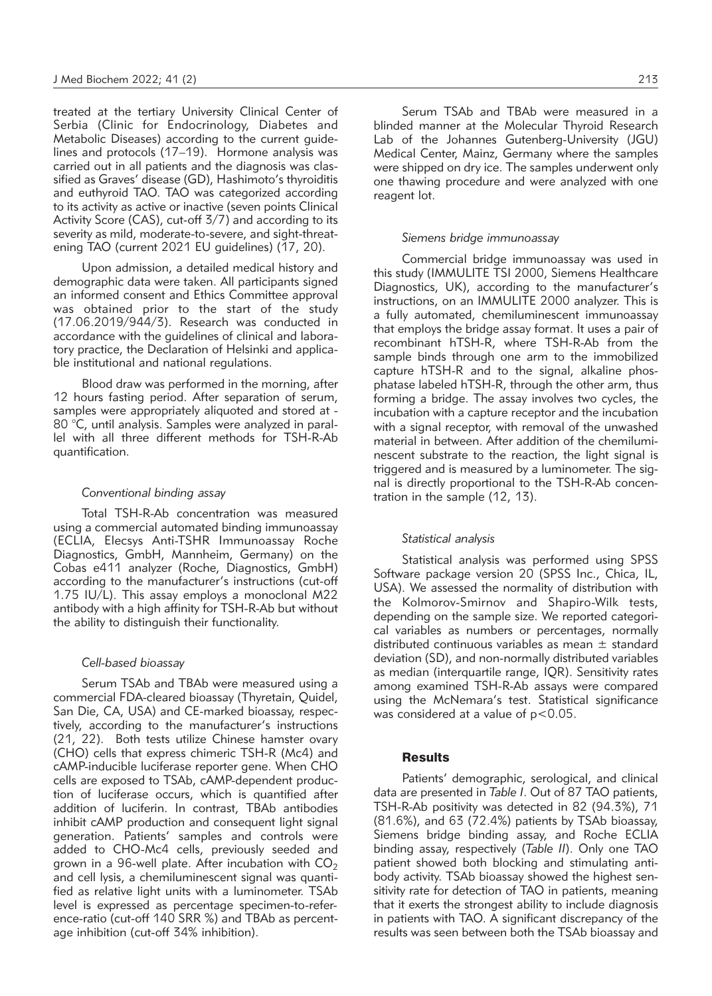treated at the tertiary University Clinical Center of Serbia (Clinic for Endocrinology, Diabetes and Metabolic Diseases) according to the current guidelines and protocols (17–19). Hormone analysis was carried out in all patients and the diagnosis was classified as Graves' disease (GD), Hashimoto's thyroiditis and euthyroid TAO. TAO was categorized according to its activity as active or inactive (seven points Clinical Activity Score (CAS), cut-off 3/7) and according to its severity as mild, moderate-to-severe, and sight-threatening TAO (current 2021 EU guidelines) (17, 20).

Upon admission, a detailed medical history and demographic data were taken. All participants signed an informed consent and Ethics Committee approval was obtained prior to the start of the study (17.06.2019/944/3). Research was conducted in accordance with the guidelines of clinical and laboratory practice, the Declaration of Helsinki and applicable institutional and national regulations.

Blood draw was performed in the morning, after 12 hours fasting period. After separation of serum, samples were appropriately aliquoted and stored at - 80 °C, until analysis. Samples were analyzed in parallel with all three different methods for TSH-R-Ab quantification.

#### *Conventional binding assay*

Total TSH-R-Ab concentration was measured using a commercial automated binding immunoassay (ECLIA, Elecsys Anti-TSHR Immunoassay Roche Diagnostics, GmbH, Mannheim, Germany) on the Cobas e411 analyzer (Roche, Diagnostics, GmbH) according to the manufacturer's instructions (cut-off 1.75 IU/L). This assay employs a monoclonal M22 antibody with a high affinity for TSH-R-Ab but without the ability to distinguish their functionality.

#### *Cell-based bioassay*

Serum TSAb and TBAb were measured using a commercial FDA-cleared bioassay (Thyretain, Quidel, San Die, CA, USA) and CE-marked bioassay, respectively, according to the manufacturer's instructions (21, 22). Both tests utilize Chinese hamster ovary (CHO) cells that express chimeric TSH-R (Mc4) and cAMP-inducible luciferase reporter gene. When CHO cells are exposed to TSAb, cAMP-dependent production of luciferase occurs, which is quantified after addition of luciferin. In contrast, TBAb antibodies inhibit cAMP production and consequent light signal generation. Patients' samples and controls were added to CHO-Mc4 cells, previously seeded and grown in a 96-well plate. After incubation with  $CO<sub>2</sub>$ and cell lysis, a chemiluminescent signal was quantified as relative light units with a luminometer. TSAb level is expressed as percentage specimen-to-reference-ratio (cut-off 140 SRR %) and TBAb as percentage inhibition (cut-off 34% inhibition).

Serum TSAb and TBAb were measured in a blinded manner at the Molecular Thyroid Research Lab of the Johannes Gutenberg-University (JGU) Medical Center, Mainz, Germany where the samples were shipped on dry ice. The samples underwent only one thawing procedure and were analyzed with one reagent lot.

#### *Siemens bridge immunoassay*

Commercial bridge immunoassay was used in this study (IMMULITE TSI 2000, Siemens Healthcare Diagnostics, UK), according to the manufacturer's instructions, on an IMMULITE 2000 analyzer. This is a fully automated, chemiluminescent immunoassay that employs the bridge assay format. It uses a pair of recombinant hTSH-R, where TSH-R-Ab from the sample binds through one arm to the immobilized capture hTSH-R and to the signal, alkaline phosphatase labeled hTSH-R, through the other arm, thus forming a bridge. The assay involves two cycles, the incubation with a capture receptor and the incubation with a signal receptor, with removal of the unwashed material in between. After addition of the chemiluminescent substrate to the reaction, the light signal is triggered and is measured by a luminometer. The signal is directly proportional to the TSH-R-Ab concentration in the sample (12, 13).

#### *Statistical analysis*

Statistical analysis was performed using SPSS Software package version 20 (SPSS Inc., Chica, IL, USA). We assessed the normality of distribution with the Kolmorov-Smirnov and Shapiro-Wilk tests, depending on the sample size. We reported categorical variables as numbers or percentages, normally distributed continuous variables as mean  $\pm$  standard deviation (SD), and non-normally distributed variables as median (interquartile range, IQR). Sensitivity rates among examined TSH-R-Ab assays were compared using the McNemara's test. Statistical significance was considered at a value of p<0.05.

### **Results**

Patients' demographic, serological, and clinical data are presented in *Table I*. Out of 87 TAO patients, TSH-R-Ab positivity was detected in 82 (94.3%), 71 (81.6%), and 63 (72.4%) patients by TSAb bioassay, Siemens bridge binding assay, and Roche ECLIA binding assay, respectively (*Table II*). Only one TAO patient showed both blocking and stimulating antibody activity. TSAb bioassay showed the highest sensitivity rate for detection of TAO in patients, meaning that it exerts the strongest ability to include diagnosis in patients with TAO. A significant discrepancy of the results was seen between both the TSAb bioassay and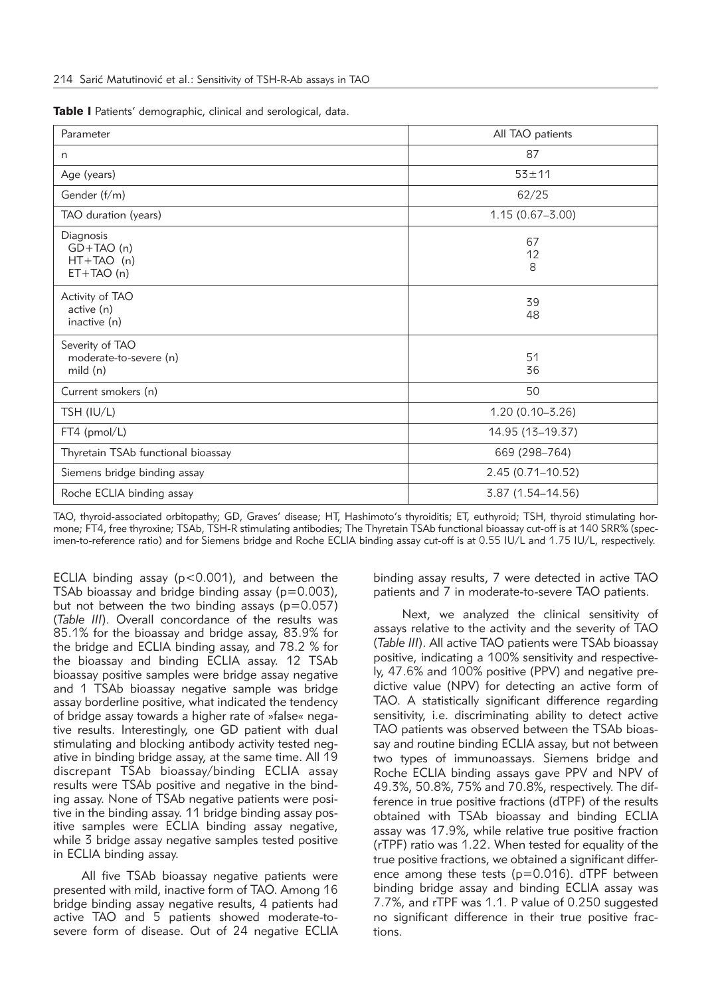| Table I Patients' demographic, clinical and serological, data. |  |  |  |  |
|----------------------------------------------------------------|--|--|--|--|
|----------------------------------------------------------------|--|--|--|--|

| Parameter                                               | All TAO patients    |
|---------------------------------------------------------|---------------------|
| n                                                       | 87                  |
| Age (years)                                             | $53 + 11$           |
| Gender (f/m)                                            | 62/25               |
| TAO duration (years)                                    | $1.15(0.67 - 3.00)$ |
| Diagnosis<br>$GD+TAO(n)$<br>$HT+TAO (n)$<br>$ET+TAO(n)$ | 67<br>12<br>8       |
| Activity of TAO<br>active (n)<br>inactive (n)           | 39<br>48            |
| Severity of TAO<br>moderate-to-severe (n)<br>mid (n)    | 51<br>36            |
| Current smokers (n)                                     | 50                  |
| TSH (IU/L)                                              | $1.20(0.10 - 3.26)$ |
| FT4 (pmol/L)                                            | 14.95 (13-19.37)    |
| Thyretain TSAb functional bioassay                      | 669 (298-764)       |
| Siemens bridge binding assay                            | 2.45 (0.71-10.52)   |
| Roche ECLIA binding assay                               | 3.87 (1.54-14.56)   |

TAO, thyroid-associated orbitopathy; GD, Graves' disease; HT, Hashimoto's thyroiditis; ET, euthyroid; TSH, thyroid stimulating hormone; FT4, free thyroxine; TSAb, TSH-R stimulating antibodies; The Thyretain TSAb functional bioassay cut-off is at 140 SRR% (specimen-to-reference ratio) and for Siemens bridge and Roche ECLIA binding assay cut-off is at 0.55 IU/L and 1.75 IU/L, respectively.

ECLIA binding assay ( $p < 0.001$ ), and between the TSAb bioassay and bridge binding assay  $(p=0.003)$ , but not between the two binding assays (p=0.057) (*Table III*). Overall concordance of the results was 85.1% for the bioassay and bridge assay, 83.9% for the bridge and ECLIA binding assay, and 78.2 % for the bioassay and binding ECLIA assay. 12 TSAb bioassay positive samples were bridge assay negative and 1 TSAb bioassay negative sample was bridge assay borderline positive, what indicated the tendency of bridge assay towards a higher rate of »false« negative results. Interestingly, one GD patient with dual stimulating and blocking antibody activity tested negative in binding bridge assay, at the same time. All 19 discrepant TSAb bioassay/binding ECLIA assay results were TSAb positive and negative in the binding assay. None of TSAb negative patients were positive in the binding assay. 11 bridge binding assay positive samples were ECLIA binding assay negative, while 3 bridge assay negative samples tested positive in ECLIA binding assay.

All five TSAb bioassay negative patients were presented with mild, inactive form of TAO. Among 16 bridge binding assay negative results, 4 patients had active TAO and 5 patients showed moderate-tosevere form of disease. Out of 24 negative ECLIA binding assay results, 7 were detected in active TAO patients and 7 in moderate-to-severe TAO patients.

Next, we analyzed the clinical sensitivity of assays relative to the activity and the severity of TAO (*Table III*). All active TAO patients were TSAb bioassay positive, indicating a 100% sensitivity and respectively, 47.6% and 100% positive (PPV) and negative predictive value (NPV) for detecting an active form of TAO. A statistically significant difference regarding sensitivity, i.e. discriminating ability to detect active TAO patients was observed between the TSAb bioassay and routine binding ECLIA assay, but not between two types of immunoassays. Siemens bridge and Roche ECLIA binding assays gave PPV and NPV of 49.3%, 50.8%, 75% and 70.8%, respectively. The difference in true positive fractions (dTPF) of the results obtained with TSAb bioassay and binding ECLIA assay was 17.9%, while relative true positive fraction (rTPF) ratio was 1.22. When tested for equality of the true positive fractions, we obtained a significant difference among these tests (p=0.016). dTPF between binding bridge assay and binding ECLIA assay was 7.7%, and rTPF was 1.1. P value of 0.250 suggested no significant difference in their true positive fractions.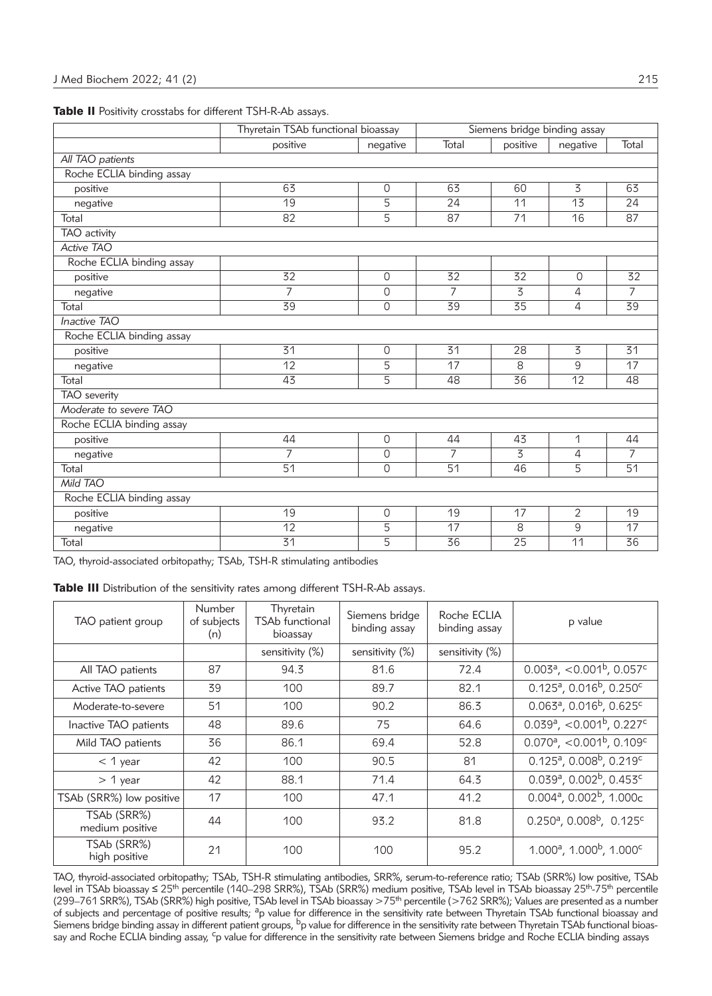|                           | Thyretain TSAb functional bioassay |                |                 | Siemens bridge binding assay |                 |                 |  |
|---------------------------|------------------------------------|----------------|-----------------|------------------------------|-----------------|-----------------|--|
|                           | positive                           | negative       | Total           | positive                     | negative        | Total           |  |
| All TAO patients          |                                    |                |                 |                              |                 |                 |  |
| Roche ECLIA binding assay |                                    |                |                 |                              |                 |                 |  |
| positive                  | 63                                 | 0              | 63              | 60                           | 3               | 63              |  |
| negative                  | 19                                 | $\overline{5}$ | 24              | 11                           | $\overline{13}$ | 24              |  |
| Total                     | 82                                 | 5              | 87              | 71                           | 16              | 87              |  |
| TAO activity              |                                    |                |                 |                              |                 |                 |  |
| Active TAO                |                                    |                |                 |                              |                 |                 |  |
| Roche ECLIA binding assay |                                    |                |                 |                              |                 |                 |  |
| positive                  | 32                                 | 0              | 32              | 32                           | $\overline{0}$  | 32              |  |
| negative                  | $\overline{7}$                     | 0              | $\overline{7}$  | $\overline{3}$               | 4               | $\overline{7}$  |  |
| Total                     | 39                                 | 0              | 39              | 35                           | 4               | $\overline{39}$ |  |
| <b>Inactive TAO</b>       |                                    |                |                 |                              |                 |                 |  |
| Roche ECLIA binding assay |                                    |                |                 |                              |                 |                 |  |
| positive                  | 31                                 | $\circ$        | 31              | 28                           | 3               | 31              |  |
| negative                  | 12                                 | 5              | 17              | 8                            | 9               | 17              |  |
| Total                     | 43                                 | 5              | 48              | 36                           | 12              | 48              |  |
| <b>TAO</b> severity       |                                    |                |                 |                              |                 |                 |  |
| Moderate to severe TAO    |                                    |                |                 |                              |                 |                 |  |
| Roche ECLIA binding assay |                                    |                |                 |                              |                 |                 |  |
| positive                  | 44                                 | $\overline{O}$ | 44              | 43                           | 1               | 44              |  |
| negative                  | 7                                  | $\mathsf{O}$   | $\overline{7}$  | 3                            | 4               | 7               |  |
| Total                     | $\overline{51}$                    | $\Omega$       | $\overline{51}$ | 46                           | 5               | $\overline{51}$ |  |
| Mild TAO                  |                                    |                |                 |                              |                 |                 |  |
| Roche ECLIA binding assay |                                    |                |                 |                              |                 |                 |  |
| positive                  | 19                                 | $\overline{O}$ | 19              | 17                           | 2               | 19              |  |
| negative                  | 12                                 | 5              | 17              | 8                            | 9               | 17              |  |
| Total                     | $\overline{31}$                    | 5              | 36              | 25                           | 11              | 36              |  |

|  |  |  |  |  |  | Table II Positivity crosstabs for different TSH-R-Ab assays. |  |
|--|--|--|--|--|--|--------------------------------------------------------------|--|
|--|--|--|--|--|--|--------------------------------------------------------------|--|

TAO, thyroid-associated orbitopathy; TSAb, TSH-R stimulating antibodies

Table III Distribution of the sensitivity rates among different TSH-R-Ab assays.

| TAO patient group              | Number<br>of subjects<br>(n) | Thyretain<br><b>TSAb functional</b><br>bioassay | Siemens bridge<br>binding assay | Roche ECLIA<br>binding assay | p value                                              |
|--------------------------------|------------------------------|-------------------------------------------------|---------------------------------|------------------------------|------------------------------------------------------|
|                                |                              | sensitivity (%)                                 | sensitivity (%)                 | sensitivity (%)              |                                                      |
| All TAO patients               | 87                           | 94.3                                            | 81.6                            | 72.4                         | $0.003^a$ , <0.001 <sup>b</sup> , 0.057 <sup>c</sup> |
| Active TAO patients            | 39                           | 100                                             | 89.7                            | 82.1                         | $0.125^a$ , $0.016^b$ , $0.250^c$                    |
| Moderate-to-severe             | 51                           | 100                                             | 90.2                            | 86.3                         | $0.063^a$ , $0.016^b$ , $0.625^c$                    |
| Inactive TAO patients          | 48                           | 89.6                                            | 75                              | 64.6                         | $0.039^a$ , <0.001 <sup>b</sup> , 0.227 <sup>c</sup> |
| Mild TAO patients              | 36                           | 86.1                                            | 69.4                            | 52.8                         | $0.070^a$ , <0.001 <sup>b</sup> , 0.109 <sup>c</sup> |
| $<$ 1 year                     | 42                           | 100                                             | 90.5                            | 81                           | $0.125^a$ , 0.008 $b$ , 0.219 $c$                    |
| $> 1$ year                     | 42                           | 88.1                                            | 71.4                            | 64.3                         | $0.039a$ , $0.002b$ , $0.453c$                       |
| TSAb (SRR%) low positive       | 17                           | 100                                             | 47.1                            | 41.2                         | $0.004$ <sup>a</sup> , $0.002$ <sup>b</sup> , 1.000c |
| TSAb (SRR%)<br>medium positive | 44                           | 100                                             | 93.2                            | 81.8                         | $0.250^{\circ}$ , $0.008^{\circ}$ , $0.125^{\circ}$  |
| TSAb (SRR%)<br>high positive   | 21                           | 100                                             | 100                             | 95.2                         | $1.000^a$ , $1.000^b$ , $1.000^c$                    |

TAO, thyroid-associated orbitopathy; TSAb, TSH-R stimulating antibodies, SRR%, serum-to-reference ratio; TSAb (SRR%) low positive, TSAb<br>level in TSAb bioassay ≤ 25<sup>th</sup> percentile (140–298 SRR%), TSAb (SRR%) medium positiv (299–761 SRR%), TSAb (SRR%) high positive, TSAb level in TSAb bioassay >75<sup>th</sup> percentile (>762 SRR%); Values are presented as a number of subjects and percentage of positive results; <sup>a</sup>p value for difference in the sensitivity rate between Thyretain TSAb functional bioassay and Siemens bridge binding assay in different patient groups,  $b_p$  value for difference in the sensitivity rate between Thyretain TSAb functional bioassay and Roche ECLIA binding assay, <sup>c</sup>p value for difference in the sensitivity rate between Siemens bridge and Roche ECLIA binding assays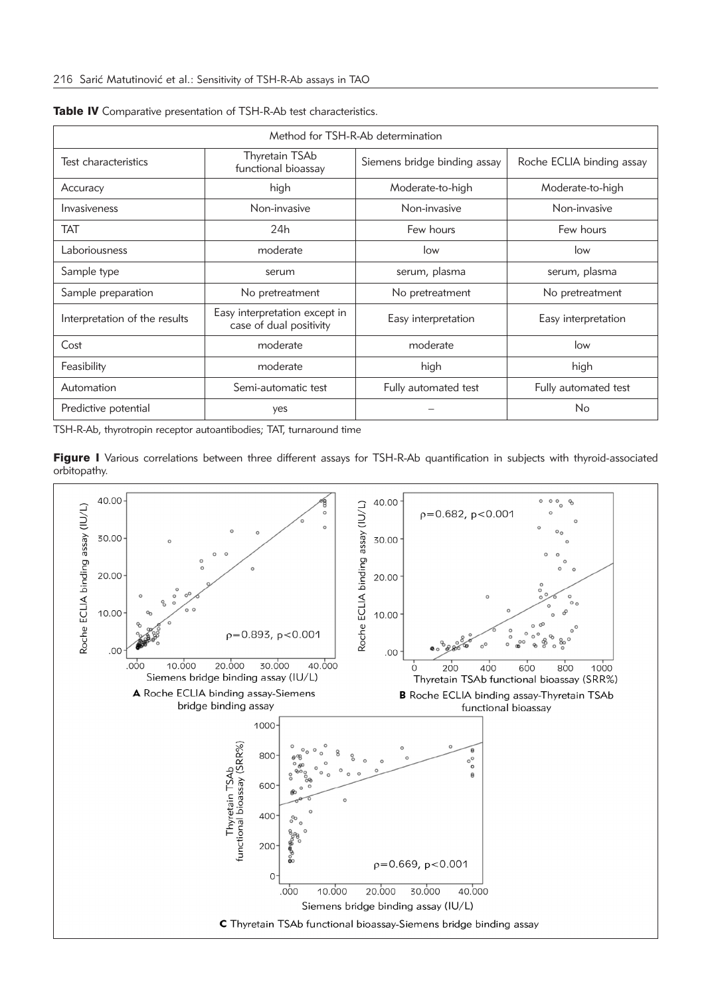| Method for TSH-R-Ab determination                                                         |                                       |                              |                           |  |  |  |  |
|-------------------------------------------------------------------------------------------|---------------------------------------|------------------------------|---------------------------|--|--|--|--|
| Test characteristics                                                                      | Thyretain TSAb<br>functional bioassay | Siemens bridge binding assay | Roche ECLIA binding assay |  |  |  |  |
| Accuracy                                                                                  | high                                  | Moderate-to-high             | Moderate-to-high          |  |  |  |  |
| Invasiveness                                                                              | Non-invasive                          | Non-invasive                 | Non-invasive              |  |  |  |  |
| <b>TAT</b>                                                                                | 24h                                   | Few hours                    | Few hours                 |  |  |  |  |
| Laboriousness                                                                             | moderate<br>low                       |                              | low                       |  |  |  |  |
| Sample type                                                                               | serum                                 |                              | serum, plasma             |  |  |  |  |
| Sample preparation<br>No pretreatment                                                     |                                       | No pretreatment              | No pretreatment           |  |  |  |  |
| Easy interpretation except in<br>Interpretation of the results<br>case of dual positivity |                                       | Easy interpretation          | Easy interpretation       |  |  |  |  |
| Cost                                                                                      | moderate                              | moderate                     | low                       |  |  |  |  |
| Feasibility                                                                               | moderate                              | high                         | high                      |  |  |  |  |
| Automation                                                                                | Semi-automatic test                   | Fully automated test         | Fully automated test      |  |  |  |  |
| Predictive potential                                                                      | yes                                   |                              | No                        |  |  |  |  |

|  |  |  |  |  |  |  | Table IV Comparative presentation of TSH-R-Ab test characteristics. |
|--|--|--|--|--|--|--|---------------------------------------------------------------------|
|--|--|--|--|--|--|--|---------------------------------------------------------------------|

TSH-R-Ab, thyrotropin receptor autoantibodies; TAT, turnaround time

Figure I Various correlations between three different assays for TSH-R-Ab quantification in subjects with thyroid-associated orbitopathy.

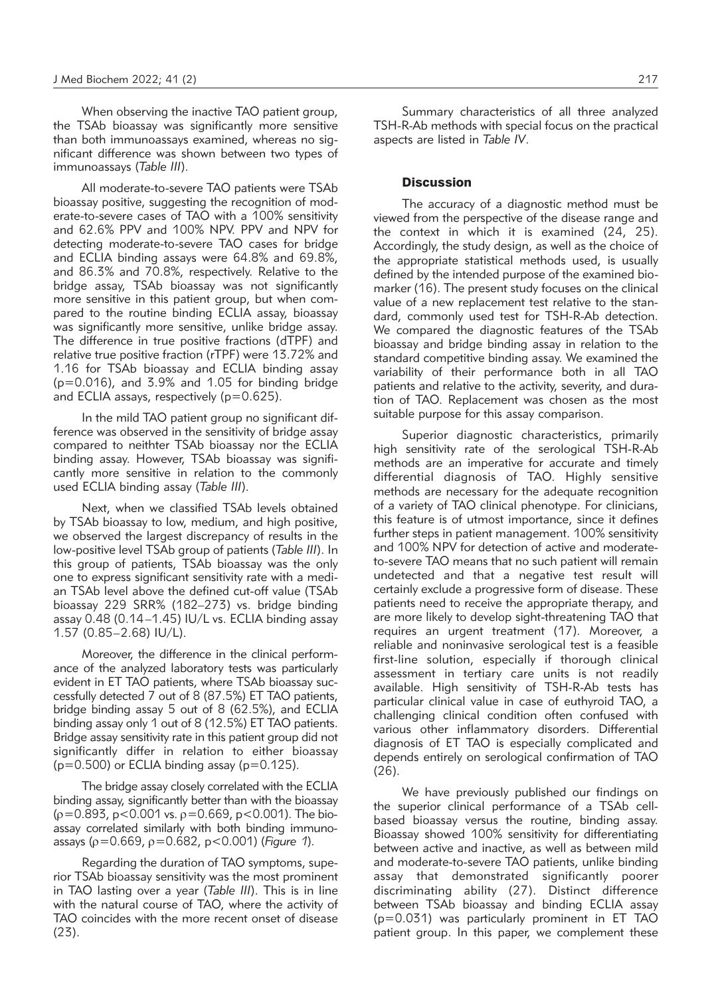When observing the inactive TAO patient group, the TSAb bioassay was significantly more sensitive than both immunoassays examined, whereas no significant difference was shown between two types of immunoassays (*Table III*).

All moderate-to-severe TAO patients were TSAb bioassay positive, suggesting the recognition of moderate-to-severe cases of TAO with a 100% sensitivity and 62.6% PPV and 100% NPV. PPV and NPV for detecting moderate-to-severe TAO cases for bridge and ECLIA binding assays were 64.8% and 69.8%, and 86.3% and 70.8%, respectively. Relative to the bridge assay, TSAb bioassay was not significantly more sensitive in this patient group, but when compared to the routine binding ECLIA assay, bioassay was significantly more sensitive, unlike bridge assay. The difference in true positive fractions (dTPF) and relative true positive fraction (rTPF) were 13.72% and 1.16 for TSAb bioassay and ECLIA binding assay  $(p=0.016)$ , and  $3.9\%$  and  $1.05$  for binding bridge and ECLIA assays, respectively (p=0.625).

In the mild TAO patient group no significant difference was observed in the sensitivity of bridge assay compared to neithter TSAb bioassay nor the ECLIA binding assay. However, TSAb bioassay was significantly more sensitive in relation to the commonly used ECLIA binding assay (*Table III*).

Next, when we classified TSAb levels obtained by TSAb bioassay to low, medium, and high positive, we observed the largest discrepancy of results in the low-positive level TSAb group of patients (*Table III*). In this group of patients, TSAb bioassay was the only one to express significant sensitivity rate with a median TSAb level above the defined cut-off value (TSAb bioassay 229 SRR% (182–273) vs. bridge binding assay 0.48 (0.14–1.45) IU/L vs. ECLIA binding assay 1.57 (0.85–2.68) IU/L).

Moreover, the difference in the clinical performance of the analyzed laboratory tests was particularly evident in ET TAO patients, where TSAb bioassay successfully detected 7 out of 8 (87.5%) ET TAO patients, bridge binding assay 5 out of 8 (62.5%), and ECLIA binding assay only 1 out of 8 (12.5%) ET TAO patients. Bridge assay sensitivity rate in this patient group did not significantly differ in relation to either bioassay  $(p=0.500)$  or ECLIA binding assay  $(p=0.125)$ .

The bridge assay closely correlated with the ECLIA binding assay, significantly better than with the bioassay  $(p=0.893, p<0.001$  vs.  $p=0.669, p<0.001$ ). The bioassay correlated similarly with both binding immunoassays (ρ=0.669, ρ=0.682, p<0.001) (*Figure 1*).

Regarding the duration of TAO symptoms, superior TSAb bioassay sensitivity was the most prominent in TAO lasting over a year (*Table III*). This is in line with the natural course of TAO, where the activity of TAO coincides with the more recent onset of disease (23).

Summary characteristics of all three analyzed TSH-R-Ab methods with special focus on the practical aspects are listed in *Table IV*.

## **Discussion**

The accuracy of a diagnostic method must be viewed from the perspective of the disease range and the context in which it is examined (24, 25). Accordingly, the study design, as well as the choice of the appropriate statistical methods used, is usually defined by the intended purpose of the examined biomarker (16). The present study focuses on the clinical value of a new replacement test relative to the standard, commonly used test for TSH-R-Ab detection. We compared the diagnostic features of the TSAb bioassay and bridge binding assay in relation to the standard competitive binding assay. We examined the variability of their performance both in all TAO patients and relative to the activity, severity, and duration of TAO. Replacement was chosen as the most suitable purpose for this assay comparison.

Superior diagnostic characteristics, primarily high sensitivity rate of the serological TSH-R-Ab methods are an imperative for accurate and timely differential diagnosis of TAO. Highly sensitive methods are necessary for the adequate recognition of a variety of TAO clinical phenotype. For clinicians, this feature is of utmost importance, since it defines further steps in patient management. 100% sensitivity and 100% NPV for detection of active and moderateto-severe TAO means that no such patient will remain undetected and that a negative test result will certainly exclude a progressive form of disease. These patients need to receive the appropriate therapy, and are more likely to develop sight-threatening TAO that requires an urgent treatment (17). Moreover, a reliable and noninvasive serological test is a feasible first-line solution, especially if thorough clinical assessment in tertiary care units is not readily available. High sensitivity of TSH-R-Ab tests has particular clinical value in case of euthyroid TAO, a challenging clinical condition often confused with various other inflammatory disorders. Differential diagnosis of ET TAO is especially complicated and depends entirely on serological confirmation of TAO (26).

We have previously published our findings on the superior clinical performance of a TSAb cellbased bioassay versus the routine, binding assay. Bioassay showed 100% sensitivity for differentiating between active and inactive, as well as between mild and moderate-to-severe TAO patients, unlike binding assay that demonstrated significantly poorer discriminating ability (27). Distinct difference between TSAb bioassay and binding ECLIA assay (p=0.031) was particularly prominent in ET TAO patient group. In this paper, we complement these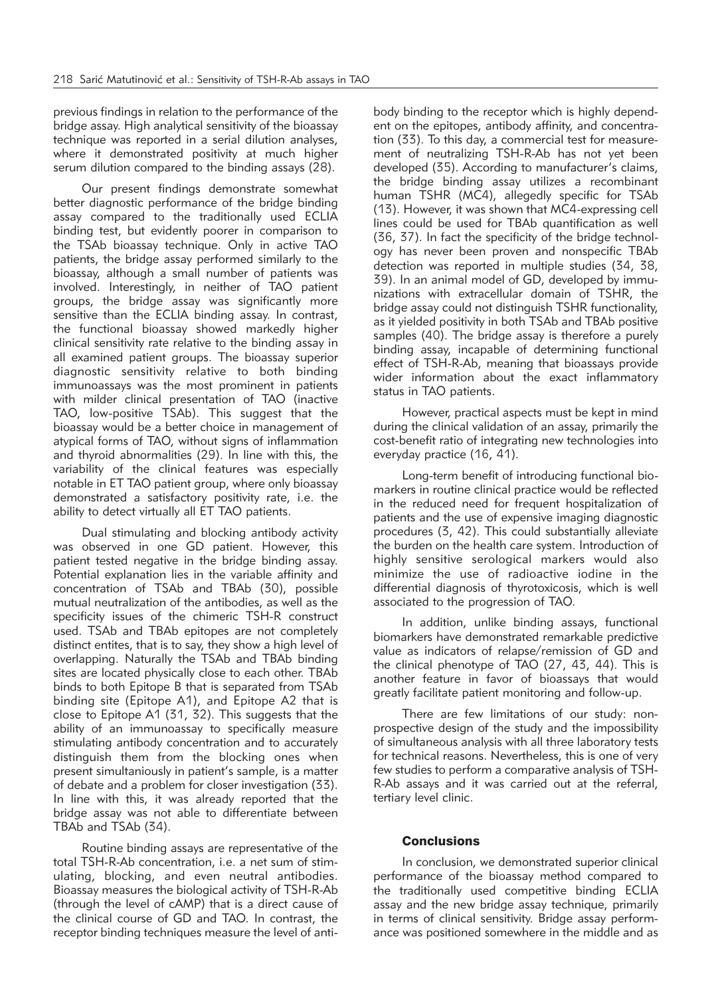previous findings in relation to the performance of the bridge assay. High analytical sensitivity of the bioassay technique was reported in a serial dilution analyses, where it demonstrated positivity at much higher serum dilution compared to the binding assays (28).

Our present findings demonstrate somewhat better diagnostic performance of the bridge binding assay compared to the traditionally used ECLIA binding test, but evidently poorer in comparison to the TSAb bioassay technique. Only in active TAO patients, the bridge assay performed similarly to the bioassay, although a small number of patients was involved. Interestingly, in neither of TAO patient groups, the bridge assay was significantly more sensitive than the ECLIA binding assay. In contrast, the functional bioassay showed markedly higher clinical sensitivity rate relative to the binding assay in all examined patient groups. The bioassay superior diagnostic sensitivity relative to both binding immunoassays was the most prominent in patients with milder clinical presentation of TAO (inactive TAO, low-positive TSAb). This suggest that the bioassay would be a better choice in management of atypical forms of TAO, without signs of inflammation and thyroid abnormalities (29). In line with this, the variability of the clinical features was especially notable in ET TAO patient group, where only bioassay demonstrated a satisfactory positivity rate, i.e. the ability to detect virtually all ET TAO patients.

Dual stimulating and blocking antibody activity was observed in one GD patient. However, this patient tested negative in the bridge binding assay. Potential explanation lies in the variable affinity and concentration of TSAb and TBAb (30), possible mutual neutralization of the antibodies, as well as the specificity issues of the chimeric TSH-R construct used. TSAb and TBAb epitopes are not completely distinct entites, that is to say, they show a high level of overlapping. Naturally the TSAb and TBAb binding sites are located physically close to each other. TBAb binds to both Epitope B that is separated from TSAb binding site (Epitope A1), and Epitope A2 that is close to Epitope A1 (31, 32). This suggests that the ability of an immunoassay to specifically measure stimulating antibody concentration and to accurately distinguish them from the blocking ones when present simultaniously in patient's sample, is a matter of debate and a problem for closer investigation (33). In line with this, it was already reported that the bridge assay was not able to differentiate between TBAb and TSAb (34).

Routine binding assays are representative of the total TSH-R-Ab concentration, i.e. a net sum of stimulating, blocking, and even neutral antibodies. Bioassay measures the biological activity of TSH-R-Ab (through the level of cAMP) that is a direct cause of the clinical course of GD and TAO. In contrast, the receptor binding techniques measure the level of anti-

body binding to the receptor which is highly dependent on the epitopes, antibody affinity, and concentration (33). To this day, a commercial test for measurement of neutralizing TSH-R-Ab has not yet been developed (35). According to manufacturer's claims, the bridge binding assay utilizes a recombinant human TSHR (MC4), allegedly specific for TSAb (13). However, it was shown that MC4-expressing cell lines could be used for TBAb quantification as well (36, 37). In fact the specificity of the bridge technology has never been proven and nonspecific TBAb detection was reported in multiple studies (34, 38, 39). In an animal model of GD, developed by immunizations with extracellular domain of TSHR, the bridge assay could not distinguish TSHR functionality, as it yielded positivity in both TSAb and TBAb positive samples (40). The bridge assay is therefore a purely binding assay, incapable of determining functional effect of TSH-R-Ab, meaning that bioassays provide wider information about the exact inflammatory status in TAO patients.

However, practical aspects must be kept in mind during the clinical validation of an assay, primarily the cost-benefit ratio of integrating new technologies into everyday practice (16, 41).

Long-term benefit of introducing functional biomarkers in routine clinical practice would be reflected in the reduced need for frequent hospitalization of patients and the use of expensive imaging diagnostic procedures (3, 42). This could substantially alleviate the burden on the health care system. Introduction of highly sensitive serological markers would also minimize the use of radioactive iodine in the differential diagnosis of thyrotoxicosis, which is well associated to the progression of TAO.

In addition, unlike binding assays, functional biomarkers have demonstrated remarkable predictive value as indicators of relapse/remission of GD and the clinical phenotype of TAO (27, 43, 44). This is another feature in favor of bioassays that would greatly facilitate patient monitoring and follow-up.

There are few limitations of our study: nonprospective design of the study and the impossibility of simultaneous analysis with all three laboratory tests for technical reasons. Nevertheless, this is one of very few studies to perform a comparative analysis of TSH-R-Ab assays and it was carried out at the referral, tertiary level clinic.

# **Conclusions**

In conclusion, we demonstrated superior clinical performance of the bioassay method compared to the traditionally used competitive binding ECLIA assay and the new bridge assay technique, primarily in terms of clinical sensitivity. Bridge assay performance was positioned somewhere in the middle and as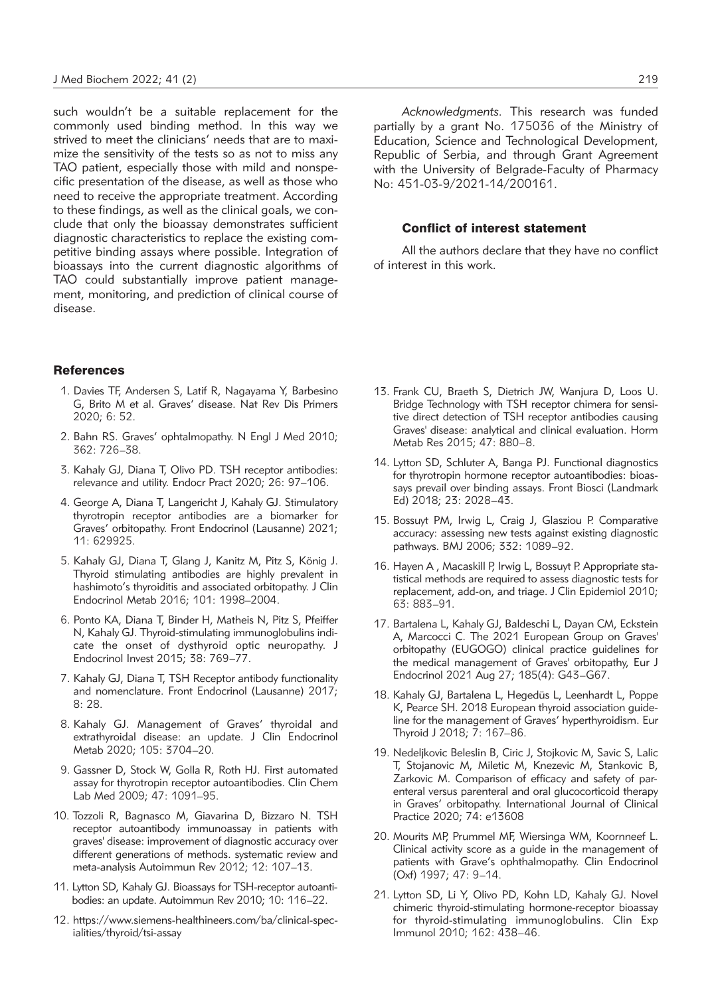such wouldn't be a suitable replacement for the commonly used binding method. In this way we strived to meet the clinicians' needs that are to maximize the sensitivity of the tests so as not to miss any TAO patient, especially those with mild and nonspecific presentation of the disease, as well as those who need to receive the appropriate treatment. According to these findings, as well as the clinical goals, we conclude that only the bioassay demonstrates sufficient diagnostic characteristics to replace the existing competitive binding assays where possible. Integration of bioassays into the current diagnostic algorithms of TAO could substantially improve patient management, monitoring, and prediction of clinical course of disease.

#### References

- 1. Davies TF, Andersen S, Latif R, Nagayama Y, Barbesino G, Brito M et al. Graves' disease. Nat Rev Dis Primers 2020; 6: 52.
- 2. Bahn RS. Graves' ophtalmopathy. N Engl J Med 2010; 362: 726–38.
- 3. Kahaly GJ, Diana T, Olivo PD. TSH receptor antibodies: relevance and utility. Endocr Pract 2020; 26: 97–106.
- 4. George A, Diana T, Langericht J, Kahaly GJ. Stimulatory thyrotropin receptor antibodies are a biomarker for Graves' orbitopathy. Front Endocrinol (Lausanne) 2021; 11: 629925.
- 5. Kahaly GJ, Diana T, Glang J, Kanitz M, Pitz S, König J. Thyroid stimulating antibodies are highly prevalent in hashimoto's thyroiditis and associated orbitopathy. J Clin Endocrinol Metab 2016; 101: 1998–2004.
- 6. Ponto KA, Diana T, Binder H, Matheis N, Pitz S, Pfeiffer N, Kahaly GJ. Thyroid-stimulating immunoglobulins indicate the onset of dysthyroid optic neuropathy. J Endocrinol Invest 2015; 38: 769–77.
- 7. Kahaly GJ, Diana T, TSH Receptor antibody functionality and nomenclature. Front Endocrinol (Lausanne) 2017; 8: 28.
- 8. Kahaly GJ. Management of Graves' thyroidal and extrathyroidal disease: an update. J Clin Endocrinol Metab 2020; 105: 3704–20.
- 9. Gassner D, Stock W, Golla R, Roth HJ. First automated assay for thyrotropin receptor autoantibodies. Clin Chem Lab Med 2009; 47: 1091–95.
- 10. Tozzoli R, Bagnasco M, Giavarina D, Bizzaro N. TSH receptor autoantibody immunoassay in patients with graves' disease: improvement of diagnostic accuracy over different generations of methods. systematic review and meta-analysis Autoimmun Rev 2012; 12: 107–13.
- 11. Lytton SD, Kahaly GJ. Bioassays for TSH-receptor autoantibodies: an update. Autoimmun Rev 2010; 10: 116–22.
- 12. https://www.siemens-healthineers.com/ba/clinical-specialities/thyroid/tsi-assay

*Acknowledgments.* This research was funded partially by a grant No. 175036 of the Ministry of Education, Science and Technological Development, Republic of Serbia, and through Grant Agreement with the University of Belgrade-Faculty of Pharmacy No: 451-03-9/2021-14/200161.

#### Conflict of interest statement

All the authors declare that they have no conflict of interest in this work.

- 13. Frank CU, Braeth S, Dietrich JW, Wanjura D, Loos U. Bridge Technology with TSH receptor chimera for sensitive direct detection of TSH receptor antibodies causing Graves' disease: analytical and clinical evaluation. Horm Metab Res 2015; 47: 880–8.
- 14. Lytton SD, Schluter A, Banga PJ. Functional diagnostics for thyrotropin hormone receptor autoantibodies: bioassays prevail over binding assays. Front Biosci (Landmark Ed) 2018; 23: 2028–43.
- 15. Bossuyt PM, Irwig L, Craig J, Glasziou P. Comparative accuracy: assessing new tests against existing diagnostic pathways. BMJ 2006; 332: 1089–92.
- 16. Hayen A , Macaskill P, Irwig L, Bossuyt P. Appropriate statistical methods are required to assess diagnostic tests for replacement, add-on, and triage. J Clin Epidemiol 2010; 63: 883–91.
- 17. Bartalena L, Kahaly GJ, Baldeschi L, Dayan CM, Eckstein A, Marcocci C. The 2021 European Group on Graves' orbitopathy (EUGOGO) clinical practice guidelines for the medical management of Graves' orbitopathy, Eur J Endocrinol 2021 Aug 27; 185(4): G43–G67.
- 18. Kahaly GJ, Bartalena L, Hegedüs L, Leenhardt L, Poppe K, Pearce SH. 2018 European thyroid association guideline for the management of Graves' hyperthyroidism. Eur Thyroid J 2018; 7: 167–86.
- 19. Nedeljkovic Beleslin B, Ciric J, Stojkovic M, Savic S, Lalic T, Stojanovic M, Miletic M, Knezevic M, Stankovic B, Zarkovic M. Comparison of efficacy and safety of parenteral versus parenteral and oral glucocorticoid therapy in Graves' orbitopathy. International Journal of Clinical Practice 2020; 74: e13608
- 20. Mourits MP, Prummel MF, Wiersinga WM, Koornneef L. Clinical activity score as a guide in the management of patients with Grave's ophthalmopathy. Clin Endocrinol (Oxf) 1997; 47: 9–14.
- 21. Lytton SD, Li Y, Olivo PD, Kohn LD, Kahaly GJ. Novel chimeric thyroid-stimulating hormone-receptor bioassay for thyroid-stimulating immunoglobulins. Clin Exp Immunol 2010; 162: 438–46.